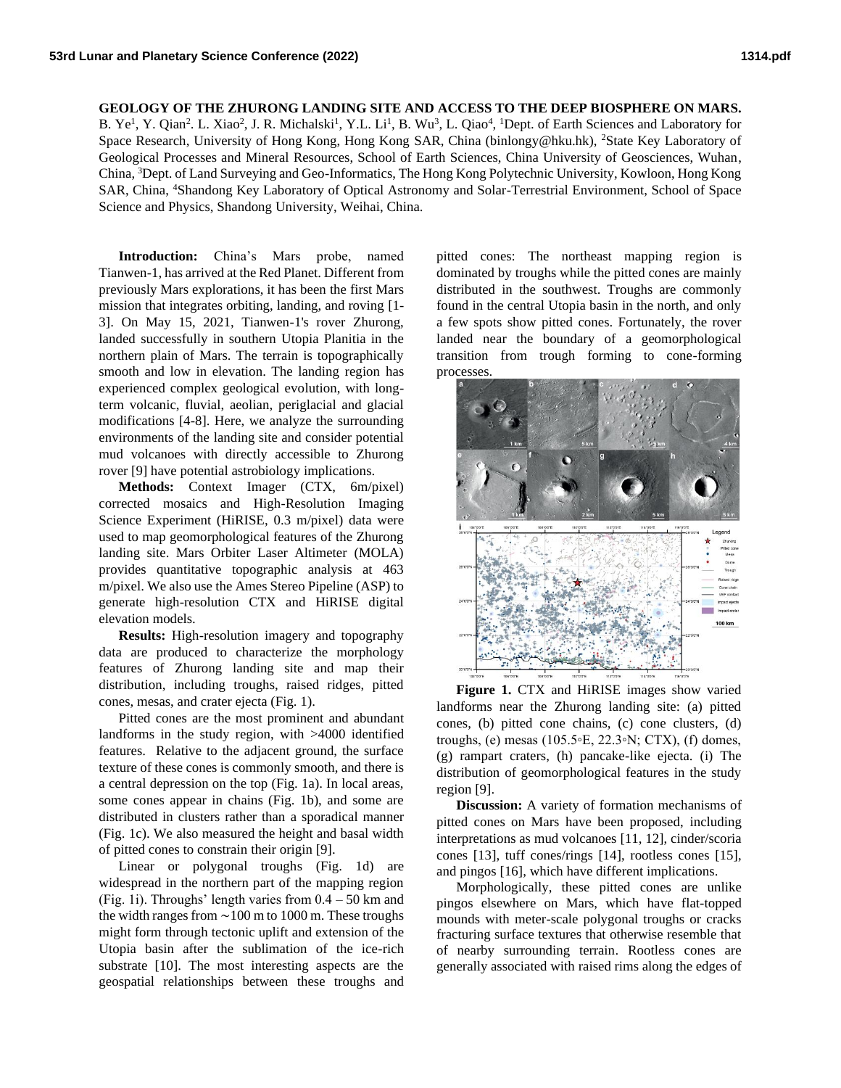## **GEOLOGY OF THE ZHURONG LANDING SITE AND ACCESS TO THE DEEP BIOSPHERE ON MARS.**

B. Ye<sup>1</sup>, Y. Qian<sup>2</sup>. L. Xiao<sup>2</sup>, J. R. Michalski<sup>1</sup>, Y.L. Li<sup>1</sup>, B. Wu<sup>3</sup>, L. Qiao<sup>4</sup>, <sup>1</sup>Dept. of Earth Sciences and Laboratory for Space Research, University of Hong Kong, Hong Kong SAR, China (binlongy@hku.hk), <sup>2</sup>State Key Laboratory of Geological Processes and Mineral Resources, School of Earth Sciences, China University of Geosciences, Wuhan, China, <sup>3</sup>Dept. of Land Surveying and Geo-Informatics, The Hong Kong Polytechnic University, Kowloon, Hong Kong SAR, China, <sup>4</sup>Shandong Key Laboratory of Optical Astronomy and Solar-Terrestrial Environment, School of Space Science and Physics, Shandong University, Weihai, China.

**Introduction:** China's Mars probe, named Tianwen-1, has arrived at the Red Planet. Different from previously Mars explorations, it has been the first Mars mission that integrates orbiting, landing, and roving [1- 3]. On May 15, 2021, Tianwen-1's rover Zhurong, landed successfully in southern Utopia Planitia in the northern plain of Mars. The terrain is topographically smooth and low in elevation. The landing region has experienced complex geological evolution, with longterm volcanic, fluvial, aeolian, periglacial and glacial modifications [4-8]. Here, we analyze the surrounding environments of the landing site and consider potential mud volcanoes with directly accessible to Zhurong rover [9] have potential astrobiology implications.

**Methods:** Context Imager (CTX, 6m/pixel) corrected mosaics and High-Resolution Imaging Science Experiment (HiRISE, 0.3 m/pixel) data were used to map geomorphological features of the Zhurong landing site. Mars Orbiter Laser Altimeter (MOLA) provides quantitative topographic analysis at 463 m/pixel. We also use the Ames Stereo Pipeline (ASP) to generate high-resolution CTX and HiRISE digital elevation models.

**Results:** High-resolution imagery and topography data are produced to characterize the morphology features of Zhurong landing site and map their distribution, including troughs, raised ridges, pitted cones, mesas, and crater ejecta (Fig. 1).

Pitted cones are the most prominent and abundant landforms in the study region, with >4000 identified features. Relative to the adjacent ground, the surface texture of these cones is commonly smooth, and there is a central depression on the top (Fig. 1a). In local areas, some cones appear in chains (Fig. 1b), and some are distributed in clusters rather than a sporadical manner (Fig. 1c). We also measured the height and basal width of pitted cones to constrain their origin [9].

Linear or polygonal troughs (Fig. 1d) are widespread in the northern part of the mapping region (Fig. 1i). Throughs' length varies from  $0.4 - 50$  km and the width ranges from ∼100 m to 1000 m. These troughs might form through tectonic uplift and extension of the Utopia basin after the sublimation of the ice-rich substrate [10]. The most interesting aspects are the geospatial relationships between these troughs and

pitted cones: The northeast mapping region is dominated by troughs while the pitted cones are mainly distributed in the southwest. Troughs are commonly found in the central Utopia basin in the north, and only a few spots show pitted cones. Fortunately, the rover landed near the boundary of a geomorphological transition from trough forming to cone-forming processes.



**Figure 1.** CTX and HiRISE images show varied landforms near the Zhurong landing site: (a) pitted cones, (b) pitted cone chains, (c) cone clusters, (d) troughs, (e) mesas (105.5◦E, 22.3◦N; CTX), (f) domes, (g) rampart craters, (h) pancake-like ejecta. (i) The distribution of geomorphological features in the study region [9].

**Discussion:** A variety of formation mechanisms of pitted cones on Mars have been proposed, including interpretations as mud volcanoes [11, 12], cinder/scoria cones [13], tuff cones/rings [14], rootless cones [15], and pingos [16], which have different implications.

Morphologically, these pitted cones are unlike pingos elsewhere on Mars, which have flat-topped mounds with meter-scale polygonal troughs or cracks fracturing surface textures that otherwise resemble that of nearby surrounding terrain. Rootless cones are generally associated with raised rims along the edges of